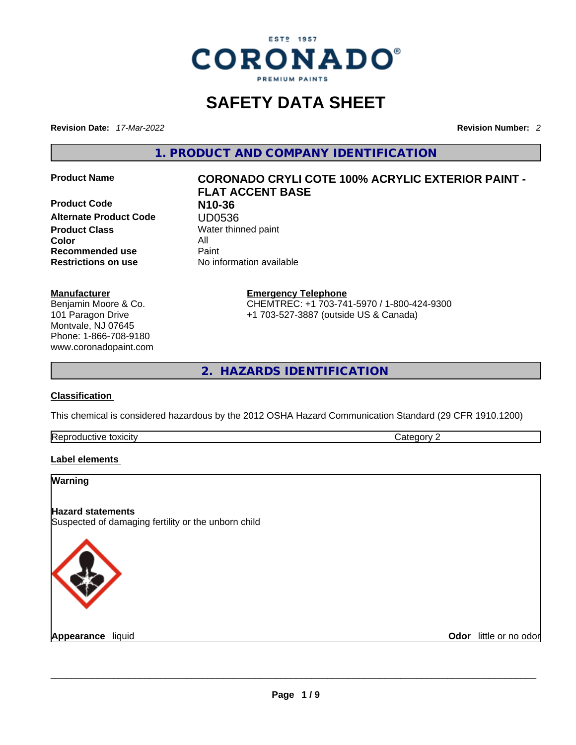

# **SAFETY DATA SHEET**

**Revision Date:** *17-Mar-2022* **Revision Number:** *2*

**1. PRODUCT AND COMPANY IDENTIFICATION** 

**Product Code N10-36 Alternate Product Code <br>
Product Class**<br>
Water thin **Color** All **Recommended use** Paint **Restrictions on use** No information available

#### **Manufacturer**

Benjamin Moore & Co. 101 Paragon Drive Montvale, NJ 07645 Phone: 1-866-708-9180 www.coronadopaint.com

# **Product Name CORONADO CRYLI COTE 100% ACRYLIC EXTERIOR PAINT - FLAT ACCENT BASE**

**Water thinned paint** 

**Emergency Telephone** CHEMTREC: +1 703-741-5970 / 1-800-424-9300 +1 703-527-3887 (outside US & Canada)

**2. HAZARDS IDENTIFICATION** 

#### **Classification**

This chemical is considered hazardous by the 2012 OSHA Hazard Communication Standard (29 CFR 1910.1200)

| Repr<br>toxicity<br>au aive | --<br>. . |
|-----------------------------|-----------|
|-----------------------------|-----------|

#### **Label elements**

# **Warning Hazard statements** Suspected of damaging fertility or the unborn child **Appearance** liquid **and a construct of the construction of the construction of the construction of the construction of the construction of the construction of the construction of the construction of the construction of th Odor** little or no odor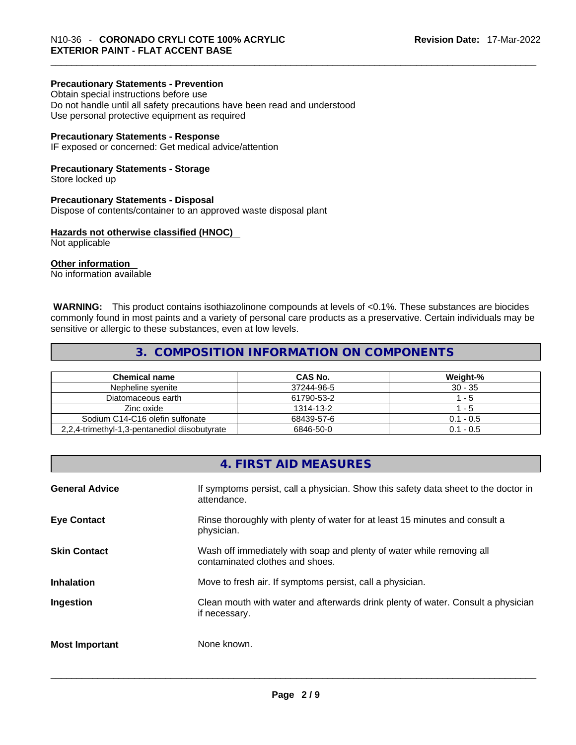## **Precautionary Statements - Prevention**

Obtain special instructions before use Do not handle until all safety precautions have been read and understood Use personal protective equipment as required

#### **Precautionary Statements - Response**

IF exposed or concerned: Get medical advice/attention

#### **Precautionary Statements - Storage**

Store locked up

#### **Precautionary Statements - Disposal**

Dispose of contents/container to an approved waste disposal plant

#### **Hazards not otherwise classified (HNOC)**

Not applicable

#### **Other information**

No information available

 **WARNING:** This product contains isothiazolinone compounds at levels of <0.1%. These substances are biocides commonly found in most paints and a variety of personal care products as a preservative. Certain individuals may be sensitive or allergic to these substances, even at low levels.

## **3. COMPOSITION INFORMATION ON COMPONENTS**

| <b>Chemical name</b>                          | CAS No.    | Weight-%        |
|-----------------------------------------------|------------|-----------------|
| Nepheline syenite                             | 37244-96-5 | $30 - 35$       |
| Diatomaceous earth                            | 61790-53-2 | $^{\prime}$ - 5 |
| Zinc oxide                                    | 1314-13-2  | - 5             |
| Sodium C14-C16 olefin sulfonate               | 68439-57-6 | $0.1 - 0.5$     |
| 2.2.4-trimethyl-1.3-pentanediol diisobutyrate | 6846-50-0  | $0.1 - 0.5$     |

# **4. FIRST AID MEASURES**

| <b>General Advice</b> | If symptoms persist, call a physician. Show this safety data sheet to the doctor in<br>attendance.       |
|-----------------------|----------------------------------------------------------------------------------------------------------|
| <b>Eye Contact</b>    | Rinse thoroughly with plenty of water for at least 15 minutes and consult a<br>physician.                |
| <b>Skin Contact</b>   | Wash off immediately with soap and plenty of water while removing all<br>contaminated clothes and shoes. |
| <b>Inhalation</b>     | Move to fresh air. If symptoms persist, call a physician.                                                |
| Ingestion             | Clean mouth with water and afterwards drink plenty of water. Consult a physician<br>if necessary.        |
| <b>Most Important</b> | None known.                                                                                              |
|                       |                                                                                                          |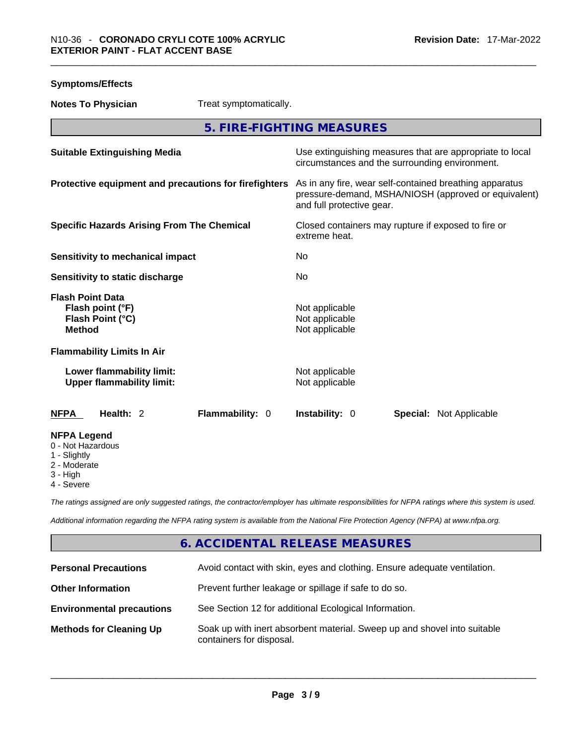**Symptoms/Effects** 

| <b>Notes To Physician</b>                                                        | Treat symptomatically.    |                                                                                                                                              |                                |  |
|----------------------------------------------------------------------------------|---------------------------|----------------------------------------------------------------------------------------------------------------------------------------------|--------------------------------|--|
|                                                                                  | 5. FIRE-FIGHTING MEASURES |                                                                                                                                              |                                |  |
| <b>Suitable Extinguishing Media</b>                                              |                           | Use extinguishing measures that are appropriate to local<br>circumstances and the surrounding environment.                                   |                                |  |
| Protective equipment and precautions for firefighters                            |                           | As in any fire, wear self-contained breathing apparatus<br>pressure-demand, MSHA/NIOSH (approved or equivalent)<br>and full protective gear. |                                |  |
| <b>Specific Hazards Arising From The Chemical</b>                                |                           | Closed containers may rupture if exposed to fire or<br>extreme heat.                                                                         |                                |  |
| Sensitivity to mechanical impact                                                 |                           | No                                                                                                                                           |                                |  |
| Sensitivity to static discharge                                                  |                           | No                                                                                                                                           |                                |  |
| <b>Flash Point Data</b><br>Flash point (°F)<br>Flash Point (°C)<br><b>Method</b> |                           | Not applicable<br>Not applicable<br>Not applicable                                                                                           |                                |  |
| <b>Flammability Limits In Air</b>                                                |                           |                                                                                                                                              |                                |  |
| Lower flammability limit:<br><b>Upper flammability limit:</b>                    |                           | Not applicable<br>Not applicable                                                                                                             |                                |  |
| <b>NFPA</b><br>Health: 2                                                         | Flammability: 0           | <b>Instability: 0</b>                                                                                                                        | <b>Special: Not Applicable</b> |  |
| <b>NFPA Legend</b><br>0 - Not Hazardous<br>1 - Slightly<br>2 - Moderate          |                           |                                                                                                                                              |                                |  |

- 3 High
- 
- 4 Severe

*The ratings assigned are only suggested ratings, the contractor/employer has ultimate responsibilities for NFPA ratings where this system is used.* 

*Additional information regarding the NFPA rating system is available from the National Fire Protection Agency (NFPA) at www.nfpa.org.* 

# **6. ACCIDENTAL RELEASE MEASURES**

| <b>Personal Precautions</b>      | Avoid contact with skin, eyes and clothing. Ensure adequate ventilation.                             |
|----------------------------------|------------------------------------------------------------------------------------------------------|
| <b>Other Information</b>         | Prevent further leakage or spillage if safe to do so.                                                |
| <b>Environmental precautions</b> | See Section 12 for additional Ecological Information.                                                |
| <b>Methods for Cleaning Up</b>   | Soak up with inert absorbent material. Sweep up and shovel into suitable<br>containers for disposal. |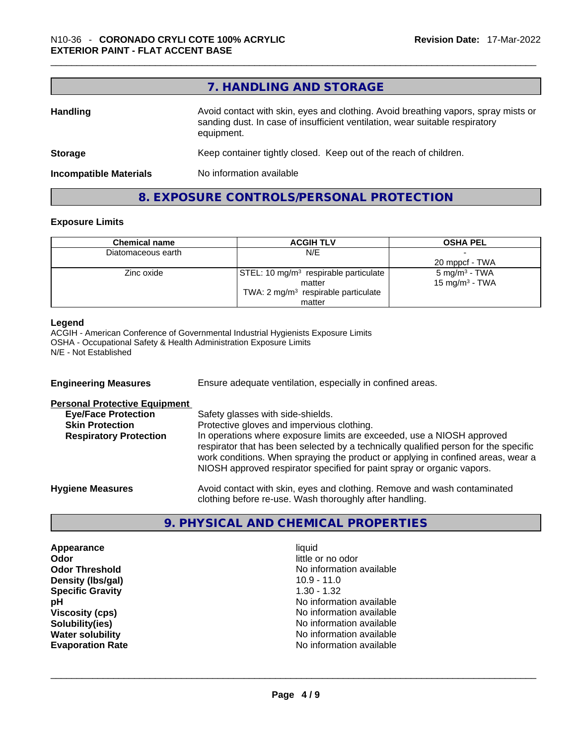|                               | 7. HANDLING AND STORAGE                                                                                                                                                          |
|-------------------------------|----------------------------------------------------------------------------------------------------------------------------------------------------------------------------------|
| <b>Handling</b>               | Avoid contact with skin, eyes and clothing. Avoid breathing vapors, spray mists or<br>sanding dust. In case of insufficient ventilation, wear suitable respiratory<br>equipment. |
| <b>Storage</b>                | Keep container tightly closed. Keep out of the reach of children.                                                                                                                |
| <b>Incompatible Materials</b> | No information available                                                                                                                                                         |

# **8. EXPOSURE CONTROLS/PERSONAL PROTECTION**

## **Exposure Limits**

г

| <b>Chemical name</b> | <b>ACGIH TLV</b>                                  | <b>OSHA PEL</b>            |
|----------------------|---------------------------------------------------|----------------------------|
| Diatomaceous earth   | N/E                                               |                            |
|                      |                                                   | 20 mppcf - TWA             |
| Zinc oxide           | STEL: 10 mg/m <sup>3</sup> respirable particulate | $5 \text{ mg/m}^3$ - TWA   |
|                      | matter                                            | 15 mg/m <sup>3</sup> - TWA |
|                      | TWA: $2 \text{ mg/m}^3$ respirable particulate    |                            |
|                      | matter                                            |                            |

#### **Legend**

ACGIH - American Conference of Governmental Industrial Hygienists Exposure Limits OSHA - Occupational Safety & Health Administration Exposure Limits N/E - Not Established

| <b>Engineering Measures</b>          | Ensure adequate ventilation, especially in confined areas.                                                                                                                                                                                                                                                                   |
|--------------------------------------|------------------------------------------------------------------------------------------------------------------------------------------------------------------------------------------------------------------------------------------------------------------------------------------------------------------------------|
| <b>Personal Protective Equipment</b> |                                                                                                                                                                                                                                                                                                                              |
| <b>Eye/Face Protection</b>           | Safety glasses with side-shields.                                                                                                                                                                                                                                                                                            |
| <b>Skin Protection</b>               | Protective gloves and impervious clothing.                                                                                                                                                                                                                                                                                   |
| <b>Respiratory Protection</b>        | In operations where exposure limits are exceeded, use a NIOSH approved<br>respirator that has been selected by a technically qualified person for the specific<br>work conditions. When spraying the product or applying in confined areas, wear a<br>NIOSH approved respirator specified for paint spray or organic vapors. |
| <b>Hygiene Measures</b>              | Avoid contact with skin, eyes and clothing. Remove and wash contaminated<br>clothing before re-use. Wash thoroughly after handling.                                                                                                                                                                                          |

## **9. PHYSICAL AND CHEMICAL PROPERTIES**

**Appearance liquid Odor**<br> **Odor Threshold**<br> **Odor Threshold**<br> **CODOR**<br> **CODOR**<br> **CODOR**<br> **CODOR**<br> **CODOR**<br> **CODOR**<br> **CODOR**<br> **CODOR**<br> **CODOR Density (Ibs/gal)** 10.9 - 11.0<br> **Specific Gravity** 1.30 - 1.32 **Specific Gravity** 

No information available<br>10.9 - 11.0 **pH pH No** information available **Viscosity (cps) Viscosity (cps) No information available Solubility(ies)**<br> **Solubility**<br> **Water solubility**<br> **Water solubility**<br> **Water solubility No information available Evaporation Rate** No information available \_\_\_\_\_\_\_\_\_\_\_\_\_\_\_\_\_\_\_\_\_\_\_\_\_\_\_\_\_\_\_\_\_\_\_\_\_\_\_\_\_\_\_\_\_\_\_\_\_\_\_\_\_\_\_\_\_\_\_\_\_\_\_\_\_\_\_\_\_\_\_\_\_\_\_\_\_\_\_\_\_\_\_\_\_\_\_\_\_\_\_\_\_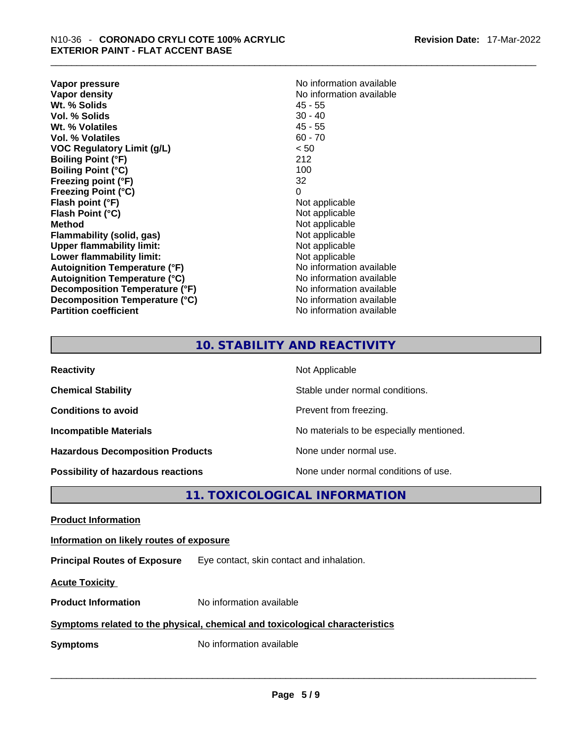**Vapor pressure Vapor pressure No information available Vapor density**<br> **We Solids**<br>
We Solid Wi, % Solids
2018 Wt. % Solids **Vol. % Solids** 30 - 40 **Wt. % Volatiles** 45 - 55 **Vol. % Volatiles** 60 - 70 **VOC Regulatory Limit (g/L)** < 50 **Boiling Point (°F)** 212 **Boiling Point (°C) Freezing point (°F)** 32 **Freezing Point (°C)** 0 **Flash point (°F)** Not applicable **Flash Point (°C)** Not applicable **Method**<br> **Plammability (solid, gas)**<br> **Plammability (solid, gas)**<br> **Not** applicable **Flammability** (solid, gas) **Upper flammability limit:** Not applicable **Lower flammability limit:** Not applicable **Autoignition Temperature (°F)** No information available **Autoignition Temperature (°C)** No information available **Decomposition Temperature (°F)** No information available **Decomposition Temperature (°C)** No information available **Partition coefficient** No information available

# **10. STABILITY AND REACTIVITY**

| <b>Reactivity</b>                         | Not Applicable                           |
|-------------------------------------------|------------------------------------------|
| <b>Chemical Stability</b>                 | Stable under normal conditions.          |
| <b>Conditions to avoid</b>                | Prevent from freezing.                   |
| <b>Incompatible Materials</b>             | No materials to be especially mentioned. |
| <b>Hazardous Decomposition Products</b>   | None under normal use.                   |
| <b>Possibility of hazardous reactions</b> | None under normal conditions of use.     |

**11. TOXICOLOGICAL INFORMATION** 

**Product Information Information on likely routes of exposure Principal Routes of Exposure** Eye contact, skin contact and inhalation. **Acute Toxicity Product Information** No information available **Symptoms related to the physical, chemical and toxicological characteristics Symptoms** No information available **Notifically and the set of the set of the set of the set of the set of the set of the set of the set of the set of the set of the set of the set of the set of the set of the set of the**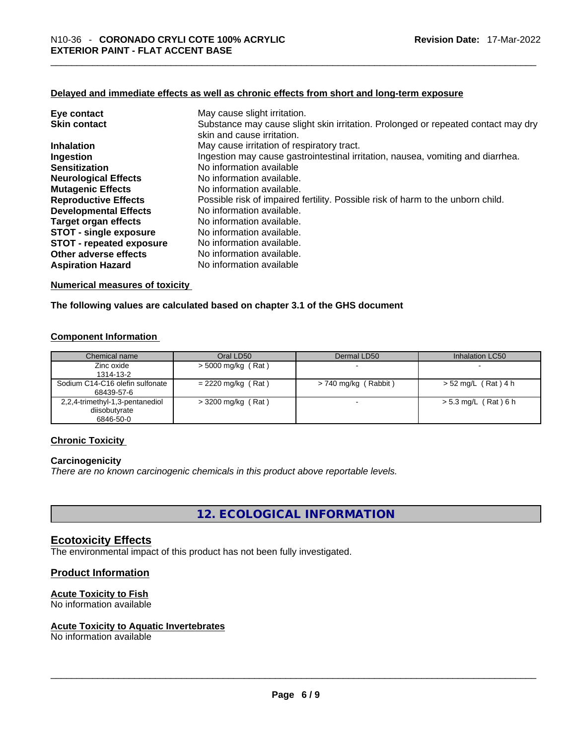#### **Delayed and immediate effects as well as chronic effects from short and long-term exposure**

| Eye contact                     | May cause slight irritation.                                                                                    |
|---------------------------------|-----------------------------------------------------------------------------------------------------------------|
| <b>Skin contact</b>             | Substance may cause slight skin irritation. Prolonged or repeated contact may dry<br>skin and cause irritation. |
| <b>Inhalation</b>               | May cause irritation of respiratory tract.                                                                      |
| Ingestion                       | Ingestion may cause gastrointestinal irritation, nausea, vomiting and diarrhea.                                 |
| <b>Sensitization</b>            | No information available                                                                                        |
| <b>Neurological Effects</b>     | No information available.                                                                                       |
| <b>Mutagenic Effects</b>        | No information available.                                                                                       |
| <b>Reproductive Effects</b>     | Possible risk of impaired fertility. Possible risk of harm to the unborn child.                                 |
| <b>Developmental Effects</b>    | No information available.                                                                                       |
| Target organ effects            | No information available.                                                                                       |
| <b>STOT - single exposure</b>   | No information available.                                                                                       |
| <b>STOT - repeated exposure</b> | No information available.                                                                                       |
| Other adverse effects           | No information available.                                                                                       |
| <b>Aspiration Hazard</b>        | No information available                                                                                        |

#### **Numerical measures of toxicity**

#### **The following values are calculated based on chapter 3.1 of the GHS document**

#### **Component Information**

| Chemical name                   | Oral LD50            | Dermal LD50              | Inhalation LC50        |
|---------------------------------|----------------------|--------------------------|------------------------|
| Zinc oxide<br>1314-13-2         | $>$ 5000 mg/kg (Rat) |                          |                        |
| Sodium C14-C16 olefin sulfonate | $= 2220$ mg/kg (Rat) | > 740 mg/kg (Rabbit)     | > 52 mg/L (Rat) 4 h    |
| 68439-57-6                      |                      |                          |                        |
| 2,2,4-trimethyl-1,3-pentanediol | $>$ 3200 mg/kg (Rat) | $\overline{\phantom{0}}$ | $> 5.3$ mg/L (Rat) 6 h |
| diisobutyrate<br>6846-50-0      |                      |                          |                        |

#### **Chronic Toxicity**

#### **Carcinogenicity**

*There are no known carcinogenic chemicals in this product above reportable levels.* 

**12. ECOLOGICAL INFORMATION** 

#### **Ecotoxicity Effects**

The environmental impact of this product has not been fully investigated.

#### **Product Information**

#### **Acute Toxicity to Fish**

No information available

# **Acute Toxicity to Aquatic Invertebrates**

No information available \_\_\_\_\_\_\_\_\_\_\_\_\_\_\_\_\_\_\_\_\_\_\_\_\_\_\_\_\_\_\_\_\_\_\_\_\_\_\_\_\_\_\_\_\_\_\_\_\_\_\_\_\_\_\_\_\_\_\_\_\_\_\_\_\_\_\_\_\_\_\_\_\_\_\_\_\_\_\_\_\_\_\_\_\_\_\_\_\_\_\_\_\_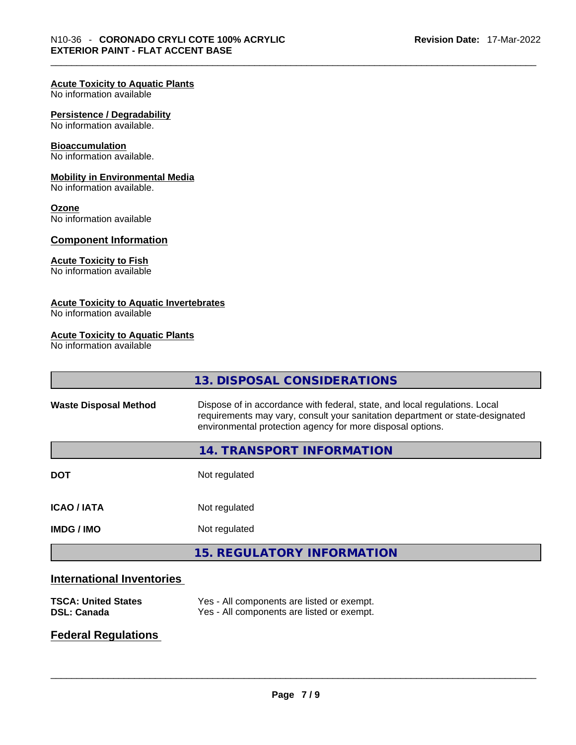## **Acute Toxicity to Aquatic Plants**

No information available

#### **Persistence / Degradability**

No information available.

#### **Bioaccumulation**

No information available.

#### **Mobility in Environmental Media**

No information available.

#### **Ozone**

No information available

#### **Component Information**

#### **Acute Toxicity to Fish**

No information available

#### **Acute Toxicity to Aquatic Invertebrates**

No information available

#### **Acute Toxicity to Aquatic Plants**

No information available

|                              | 13. DISPOSAL CONSIDERATIONS                                                                                                                                                                                               |
|------------------------------|---------------------------------------------------------------------------------------------------------------------------------------------------------------------------------------------------------------------------|
| <b>Waste Disposal Method</b> | Dispose of in accordance with federal, state, and local regulations. Local<br>requirements may vary, consult your sanitation department or state-designated<br>environmental protection agency for more disposal options. |
|                              | 14. TRANSPORT INFORMATION                                                                                                                                                                                                 |
| <b>DOT</b>                   | Not regulated                                                                                                                                                                                                             |
| <b>ICAO/IATA</b>             | Not regulated                                                                                                                                                                                                             |
| <b>IMDG/IMO</b>              | Not regulated                                                                                                                                                                                                             |
|                              | <b>15. REGULATORY INFORMATION</b>                                                                                                                                                                                         |
|                              |                                                                                                                                                                                                                           |

# **International Inventories**

| <b>TSCA: United States</b> | Yes - All components are listed or exempt. |
|----------------------------|--------------------------------------------|
| DSL: Canada                | Yes - All components are listed or exempt. |

# **Federal Regulations**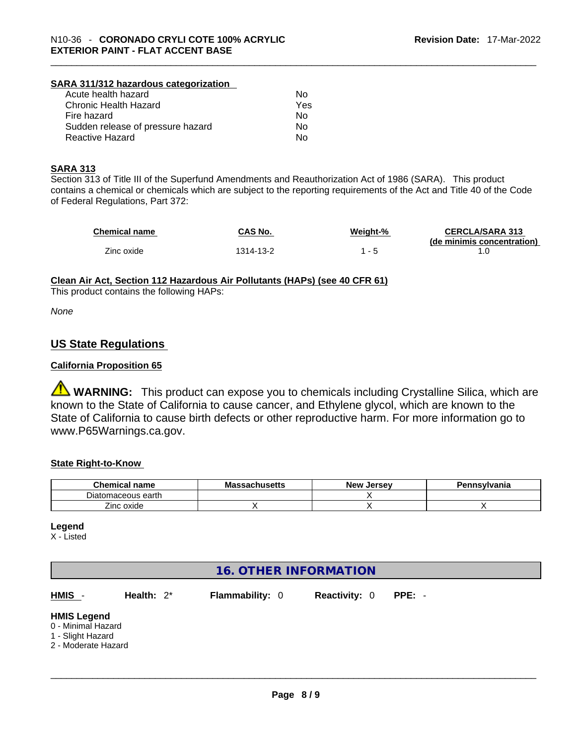# **SARA 311/312 hazardous categorization**

| Acute health hazard               | No. |
|-----------------------------------|-----|
| Chronic Health Hazard             | Yes |
| Fire hazard                       | No. |
| Sudden release of pressure hazard | No. |
| Reactive Hazard                   | Nο  |

#### **SARA 313**

Section 313 of Title III of the Superfund Amendments and Reauthorization Act of 1986 (SARA). This product contains a chemical or chemicals which are subject to the reporting requirements of the Act and Title 40 of the Code of Federal Regulations, Part 372:

| <b>Chemical name</b> | CAS No.   | Weiaht-% | <b>CERCLA/SARA 313</b>     |
|----------------------|-----------|----------|----------------------------|
|                      |           |          | (de minimis concentration) |
| Zinc oxide           | 1314-13-2 |          |                            |

**Clean Air Act,Section 112 Hazardous Air Pollutants (HAPs) (see 40 CFR 61)**

This product contains the following HAPs:

*None*

## **US State Regulations**

#### **California Proposition 65**

**WARNING:** This product can expose you to chemicals including Crystalline Silica, which are known to the State of California to cause cancer, and Ethylene glycol, which are known to the State of California to cause birth defects or other reproductive harm. For more information go to www.P65Warnings.ca.gov.

#### **State Right-to-Know**

| <b>Chemical name</b> | <b>Massachusetts</b> | <b>New</b><br>/ Jersev | Pennsylvania |
|----------------------|----------------------|------------------------|--------------|
| Diatomaceous earth   |                      |                        |              |
| --<br>Zinc oxide     |                      |                        |              |

#### **Legend**

X - Listed

# **16. OTHER INFORMATION HMIS** - **Health:** 2\* **Flammability:** 0 **Reactivity:** 0 **PPE:** - **HMIS Legend** 0 - Minimal Hazard 1 - Slight Hazard 2 - Moderate Hazard